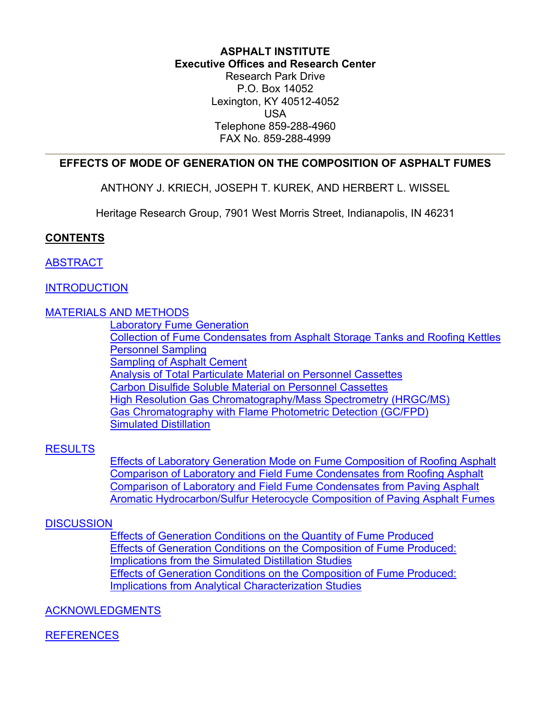#### **ASPHALT INSTITUTE Executive Offices and Research Center** Research Park Drive P.O. Box 14052

Lexington, KY 40512-4052 USA Telephone 859-288-4960 FAX No. 859-288-4999

### <span id="page-0-0"></span>**EFFECTS OF MODE OF GENERATION ON THE COMPOSITION OF ASPHALT FUMES**

ANTHONY J. KRIECH, JOSEPH T. KUREK, AND HERBERT L. WISSEL

Heritage Research Group, 7901 West Morris Street, Indianapolis, IN 46231

### **CONTENTS**

### **[ABSTRACT](#page-1-0)**

### **[INTRODUCTION](#page-1-0)**

### [MATERIALS AND METHODS](#page-2-0)

[Laboratory Fume Generation](#page-2-0) [Collection of Fume Condensates from Asphalt Storage Tanks and Roofing Kettles](#page-2-0) [Personnel Sampling](#page-3-0) [Sampling of Asphalt Cement](#page-3-0) [Analysis of Total Particulate Material on Personnel Cassettes](#page-3-0) [Carbon Disulfide Soluble Material on Personnel Cassettes](#page-3-0) [High Resolution Gas Chromatography/Mass Spectrometry \(HRGC/MS\)](#page-3-0) [Gas Chromatography with Flame Photometric Detection \(GC/FPD\)](#page-4-0) [Simulated Distillation](#page-4-0)

### [RESULTS](#page-4-0)

[Effects of Laboratory Generation Mode on Fume Composition of Roofing Asphalt](#page-4-0) [Comparison of Laboratory and Field Fume Condensates from Roofing Asphalt](#page-5-0) [Comparison of Laboratory and Field Fume Condensates from Paving Asphalt](#page-6-0) [Aromatic Hydrocarbon/Sulfur Heterocycle Composition of Paving Asphalt Fumes](#page-7-0)

### **[DISCUSSION](#page-8-0)**

Effects of Generation Conditions [on the Quantity of Fume Produced](#page-8-0) Effects of Generation Conditions on the Composition of Fume Produced: Implications from the Simulated Distillation Studies Effects of Generation Conditions on the Composition of Fume Produced: Implications from Analytical Characterization Studies

### [ACKNOWLEDGMENTS](#page-10-0)

### **[REFERENCES](#page-10-0)**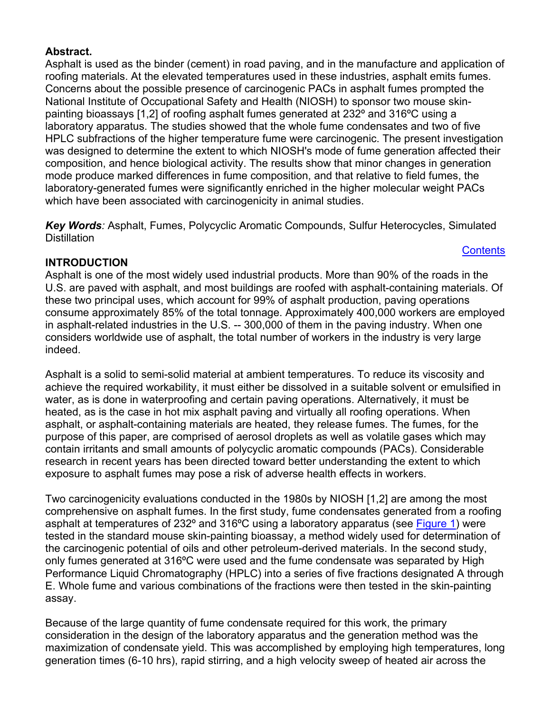### <span id="page-1-0"></span>**Abstract.**

Asphalt is used as the binder (cement) in road paving, and in the manufacture and application of roofing materials. At the elevated temperatures used in these industries, asphalt emits fumes. Concerns about the possible presence of carcinogenic PACs in asphalt fumes prompted the National Institute of Occupational Safety and Health (NIOSH) to sponsor two mouse skinpainting bioassays [1,2] of roofing asphalt fumes generated at 232º and 316ºC using a laboratory apparatus. The studies showed that the whole fume condensates and two of five HPLC subfractions of the higher temperature fume were carcinogenic. The present investigation was designed to determine the extent to which NIOSH's mode of fume generation affected their composition, and hence biological activity. The results show that minor changes in generation mode produce marked differences in fume composition, and that relative to field fumes, the laboratory-generated fumes were significantly enriched in the higher molecular weight PACs which have been associated with carcinogenicity in animal studies.

*Key Words:* Asphalt, Fumes, Polycyclic Aromatic Compounds, Sulfur Heterocycles, Simulated **Distillation** 

**[Contents](#page-0-0)** 

# **INTRODUCTION**

Asphalt is one of the most widely used industrial products. More than 90% of the roads in the U.S. are paved with asphalt, and most buildings are roofed with asphalt-containing materials. Of these two principal uses, which account for 99% of asphalt production, paving operations consume approximately 85% of the total tonnage. Approximately 400,000 workers are employed in asphalt-related industries in the U.S. -- 300,000 of them in the paving industry. When one considers worldwide use of asphalt, the total number of workers in the industry is very large indeed.

Asphalt is a solid to semi-solid material at ambient temperatures. To reduce its viscosity and achieve the required workability, it must either be dissolved in a suitable solvent or emulsified in water, as is done in waterproofing and certain paving operations. Alternatively, it must be heated, as is the case in hot mix asphalt paving and virtually all roofing operations. When asphalt, or asphalt-containing materials are heated, they release fumes. The fumes, for the purpose of this paper, are comprised of aerosol droplets as well as volatile gases which may contain irritants and small amounts of polycyclic aromatic compounds (PACs). Considerable research in recent years has been directed toward better understanding the extent to which exposure to asphalt fumes may pose a risk of adverse health effects in workers.

Two carcinogenicity evaluations conducted in the 1980s by NIOSH [1,2] are among the most comprehensive on asphalt fumes. In the first study, fume condensates generated from a roofing asphalt at temperatures of 232° and 316°C using a laboratory apparatus (see [Figure 1\)](#page-2-0) were tested in the standard mouse skin-painting bioassay, a method widely used for determination of the carcinogenic potential of oils and other petroleum-derived materials. In the second study, only fumes generated at 316ºC were used and the fume condensate was separated by High Performance Liquid Chromatography (HPLC) into a series of five fractions designated A through E. Whole fume and various combinations of the fractions were then tested in the skin-painting assay.

Because of the large quantity of fume condensate required for this work, the primary consideration in the design of the laboratory apparatus and the generation method was the maximization of condensate yield. This was accomplished by employing high temperatures, long generation times (6-10 hrs), rapid stirring, and a high velocity sweep of heated air across the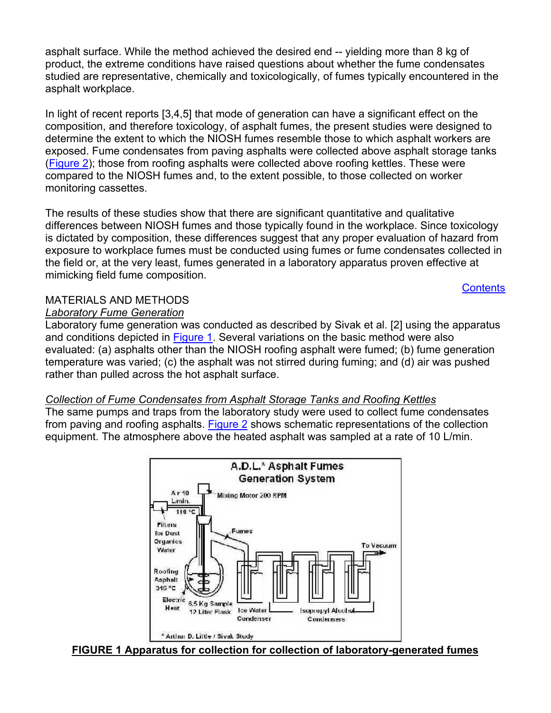<span id="page-2-0"></span>asphalt surface. While the method achieved the desired end -- yielding more than 8 kg of product, the extreme conditions have raised questions about whether the fume condensates studied are representative, chemically and toxicologically, of fumes typically encountered in the asphalt workplace.

In light of recent reports [3,4,5] that mode of generation can have a significant effect on the composition, and therefore toxicology, of asphalt fumes, the present studies were designed to determine the extent to which the NIOSH fumes resemble those to which asphalt workers are exposed. Fume condensates from paving asphalts were collected above asphalt storage tanks [\(Figure 2](#page-3-0)); those from roofing asphalts were collected above roofing kettles. These were compared to the NIOSH fumes and, to the extent possible, to those collected on worker monitoring cassettes.

The results of these studies show that there are significant quantitative and qualitative differences between NIOSH fumes and those typically found in the workplace. Since toxicology is dictated by composition, these differences suggest that any proper evaluation of hazard from exposure to workplace fumes must be conducted using fumes or fume condensates collected in the field or, at the very least, fumes generated in a laboratory apparatus proven effective at mimicking field fume composition.

#### **[Contents](#page-0-0)**

### MATERIALS AND METHODS

### *Laboratory Fume Generation*

Laboratory fume generation was conducted as described by Sivak et al. [2] using the apparatus and conditions depicted in [Figure 1](#page-2-0). Several variations on the basic method were also evaluated: (a) asphalts other than the NIOSH roofing asphalt were fumed; (b) fume generation temperature was varied; (c) the asphalt was not stirred during fuming; and (d) air was pushed rather than pulled across the hot asphalt surface.

### *Collection of Fume Condensates from Asphalt Storage Tanks and Roofing Kettles*

The same pumps and traps from the laboratory study were used to collect fume condensates from paving and roofing asphalts. [Figure 2](#page-3-0) shows schematic representations of the collection equipment. The atmosphere above the heated asphalt was sampled at a rate of 10 L/min.



#### **FIGURE 1 Apparatus for collection for collection of laboratory-generated fumes**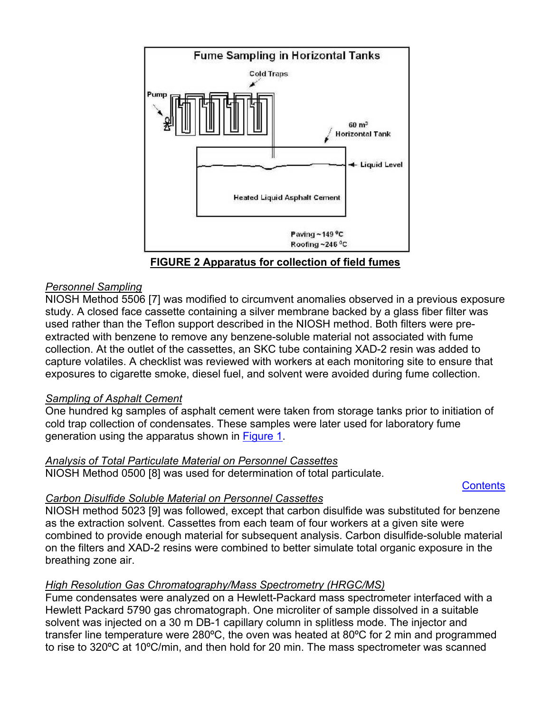<span id="page-3-0"></span>

**FIGURE 2 Apparatus for collection of field fumes**

# *Personnel Sampling*

NIOSH Method 5506 [7] was modified to circumvent anomalies observed in a previous exposure study. A closed face cassette containing a silver membrane backed by a glass fiber filter was used rather than the Teflon support described in the NIOSH method. Both filters were preextracted with benzene to remove any benzene-soluble material not associated with fume collection. At the outlet of the cassettes, an SKC tube containing XAD-2 resin was added to capture volatiles. A checklist was reviewed with workers at each monitoring site to ensure that exposures to cigarette smoke, diesel fuel, and solvent were avoided during fume collection.

# *Sampling of Asphalt Cement*

One hundred kg samples of asphalt cement were taken from storage tanks prior to initiation of cold trap collection of condensates. These samples were later used for laboratory fume generation using the apparatus shown in [Figure 1.](#page-2-0)

# *Analysis of Total Particulate Material on Personnel Cassettes*

NIOSH Method 0500 [8] was used for determination of total particulate.

# **[Contents](#page-0-0)**

# *Carbon Disulfide Soluble Material on Personnel Cassettes*

NIOSH method 5023 [9] was followed, except that carbon disulfide was substituted for benzene as the extraction solvent. Cassettes from each team of four workers at a given site were combined to provide enough material for subsequent analysis. Carbon disulfide-soluble material on the filters and XAD-2 resins were combined to better simulate total organic exposure in the breathing zone air.

# *High Resolution Gas Chromatography/Mass Spectrometry (HRGC/MS)*

Fume condensates were analyzed on a Hewlett-Packard mass spectrometer interfaced with a Hewlett Packard 5790 gas chromatograph. One microliter of sample dissolved in a suitable solvent was injected on a 30 m DB-1 capillary column in splitless mode. The injector and transfer line temperature were 280ºC, the oven was heated at 80ºC for 2 min and programmed to rise to 320ºC at 10ºC/min, and then hold for 20 min. The mass spectrometer was scanned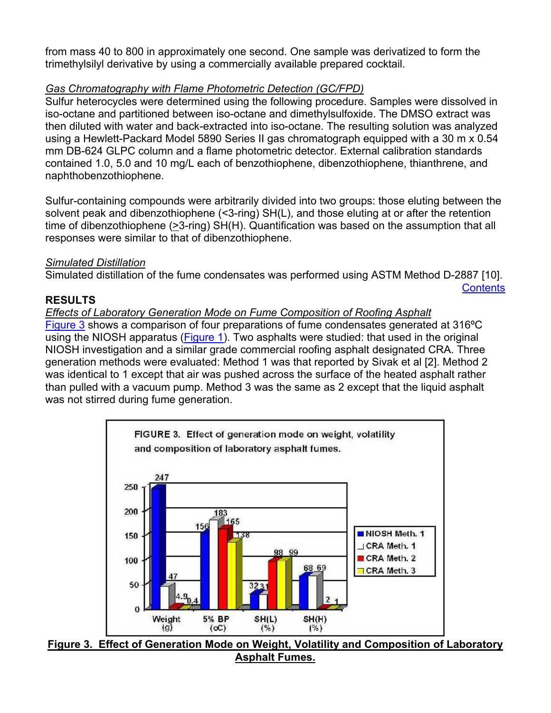<span id="page-4-0"></span>from mass 40 to 800 in approximately one second. One sample was derivatized to form the trimethylsilyl derivative by using a commercially available prepared cocktail.

# *Gas Chromatography with Flame Photometric Detection (GC/FPD)*

Sulfur heterocycles were determined using the following procedure. Samples were dissolved in iso-octane and partitioned between iso-octane and dimethylsulfoxide. The DMSO extract was then diluted with water and back-extracted into iso-octane. The resulting solution was analyzed using a Hewlett-Packard Model 5890 Series II gas chromatograph equipped with a 30 m x 0.54 mm DB-624 GLPC column and a flame photometric detector. External calibration standards contained 1.0, 5.0 and 10 mg/L each of benzothiophene, dibenzothiophene, thianthrene, and naphthobenzothiophene.

Sulfur-containing compounds were arbitrarily divided into two groups: those eluting between the solvent peak and dibenzothiophene (<3-ring) SH(L), and those eluting at or after the retention time of dibenzothiophene (>3-ring) SH(H). Quantification was based on the assumption that all responses were similar to that of dibenzothiophene.

### *Simulated Distillation*

Simulated distillation of the fume condensates was performed using ASTM Method D-2887 [10].

**[Contents](#page-0-0)** 

### **RESULTS**

# *Effects of Laboratory Generation Mode on Fume Composition of Roofing Asphalt*

[Figure 3](#page-4-0) shows a comparison of four preparations of fume condensates generated at 316ºC using the NIOSH apparatus ([Figure 1](#page-2-0)). Two asphalts were studied: that used in the original NIOSH investigation and a similar grade commercial roofing asphalt designated CRA. Three generation methods were evaluated: Method 1 was that reported by Sivak et al [2]. Method 2 was identical to 1 except that air was pushed across the surface of the heated asphalt rather than pulled with a vacuum pump. Method 3 was the same as 2 except that the liquid asphalt was not stirred during fume generation.



**Figure 3. Effect of Generation Mode on Weight, Volatility and Composition of Laboratory Asphalt Fumes.**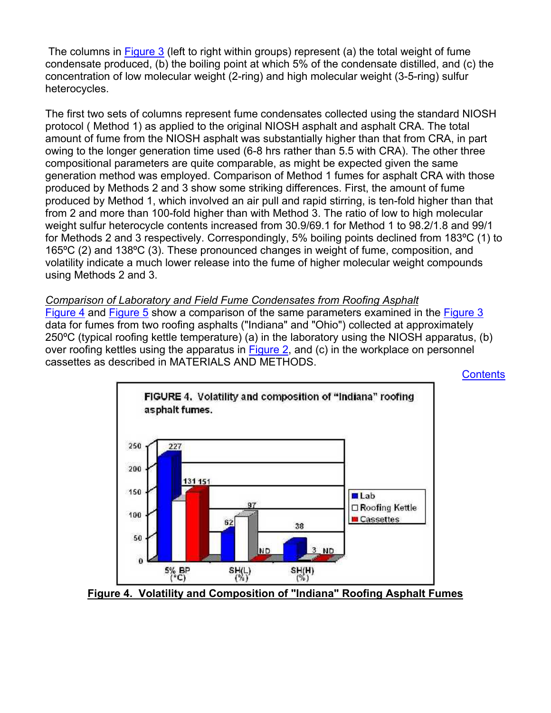<span id="page-5-0"></span> The columns in [Figure 3](#page-4-0) (left to right within groups) represent (a) the total weight of fume condensate produced, (b) the boiling point at which 5% of the condensate distilled, and (c) the concentration of low molecular weight (2-ring) and high molecular weight (3-5-ring) sulfur heterocycles.

The first two sets of columns represent fume condensates collected using the standard NIOSH protocol ( Method 1) as applied to the original NIOSH asphalt and asphalt CRA. The total amount of fume from the NIOSH asphalt was substantially higher than that from CRA, in part owing to the longer generation time used (6-8 hrs rather than 5.5 with CRA). The other three compositional parameters are quite comparable, as might be expected given the same generation method was employed. Comparison of Method 1 fumes for asphalt CRA with those produced by Methods 2 and 3 show some striking differences. First, the amount of fume produced by Method 1, which involved an air pull and rapid stirring, is ten-fold higher than that from 2 and more than 100-fold higher than with Method 3. The ratio of low to high molecular weight sulfur heterocycle contents increased from 30.9/69.1 for Method 1 to 98.2/1.8 and 99/1 for Methods 2 and 3 respectively. Correspondingly, 5% boiling points declined from 183ºC (1) to 165ºC (2) and 138ºC (3). These pronounced changes in weight of fume, composition, and volatility indicate a much lower release into the fume of higher molecular weight compounds using Methods 2 and 3.

*Comparison of Laboratory and Field Fume Condensates from Roofing Asphalt* [Figure 4](#page-5-0) and [Figure 5](#page-6-0) show a comparison of the same parameters examined in the [Figure 3](#page-4-0) data for fumes from two roofing asphalts ("Indiana" and "Ohio") collected at approximately 250ºC (typical roofing kettle temperature) (a) in the laboratory using the NIOSH apparatus, (b) over roofing kettles using the apparatus in [Figure 2,](#page-3-0) and (c) in the workplace on personnel cassettes as described in MATERIALS AND METHODS.

**[Contents](#page-0-0)** 



**Figure 4. Volatility and Composition of "Indiana" Roofing Asphalt Fumes**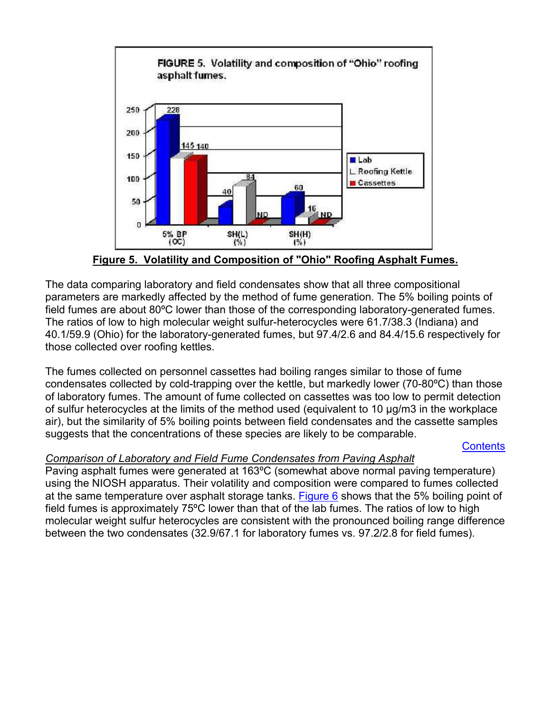<span id="page-6-0"></span>

**Figure 5. Volatility and Composition of "Ohio" Roofing Asphalt Fumes.**

The data comparing laboratory and field condensates show that all three compositional parameters are markedly affected by the method of fume generation. The 5% boiling points of field fumes are about 80ºC lower than those of the corresponding laboratory-generated fumes. The ratios of low to high molecular weight sulfur-heterocycles were 61.7/38.3 (Indiana) and 40.1/59.9 (Ohio) for the laboratory-generated fumes, but 97.4/2.6 and 84.4/15.6 respectively for those collected over roofing kettles.

The fumes collected on personnel cassettes had boiling ranges similar to those of fume condensates collected by cold-trapping over the kettle, but markedly lower (70-80ºC) than those of laboratory fumes. The amount of fume collected on cassettes was too low to permit detection of sulfur heterocycles at the limits of the method used (equivalent to 10 µg/m3 in the workplace air), but the similarity of 5% boiling points between field condensates and the cassette samples suggests that the concentrations of these species are likely to be comparable.

# **[Contents](#page-0-0)**

# *Comparison of Laboratory and Field Fume Condensates from Paving Asphalt*

Paving asphalt fumes were generated at 163ºC (somewhat above normal paving temperature) using the NIOSH apparatus. Their volatility and composition were compared to fumes collected at the same temperature over asphalt storage tanks. [Figure 6](#page-7-0) shows that the 5% boiling point of field fumes is approximately 75ºC lower than that of the lab fumes. The ratios of low to high molecular weight sulfur heterocycles are consistent with the pronounced boiling range difference between the two condensates (32.9/67.1 for laboratory fumes vs. 97.2/2.8 for field fumes).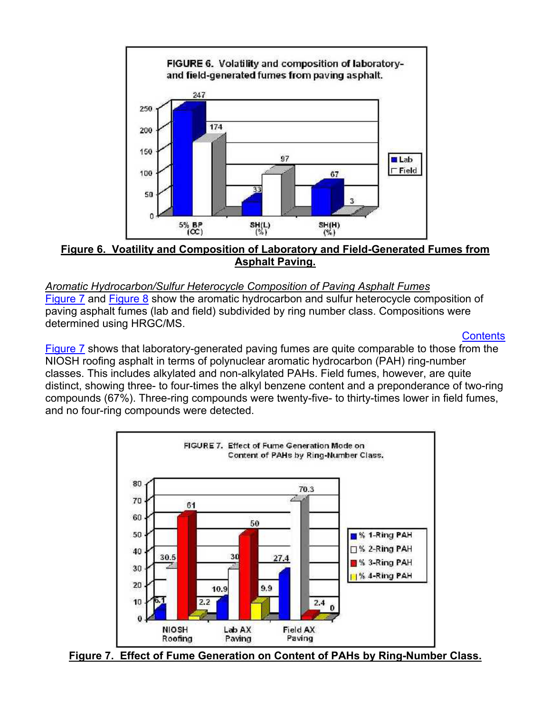<span id="page-7-0"></span>

**Figure 6. Voatility and Composition of Laboratory and Field-Generated Fumes from Asphalt Paving.**

#### *Aromatic Hydrocarbon/Sulfur Heterocycle Composition of Paving Asphalt Fumes* [Figure 7](#page-7-0) and [Figure 8](#page-8-0) show the aromatic hydrocarbon and sulfur heterocycle composition of paving asphalt fumes (lab and field) subdivided by ring number class. Compositions were determined using HRGC/MS.

### **[Contents](#page-0-0)**

[Figure 7](#page-7-0) shows that laboratory-generated paving fumes are quite comparable to those from the NIOSH roofing asphalt in terms of polynuclear aromatic hydrocarbon (PAH) ring-number classes. This includes alkylated and non-alkylated PAHs. Field fumes, however, are quite distinct, showing three- to four-times the alkyl benzene content and a preponderance of two-ring compounds (67%). Three-ring compounds were twenty-five- to thirty-times lower in field fumes, and no four-ring compounds were detected.



**Figure 7. Effect of Fume Generation on Content of PAHs by Ring-Number Class.**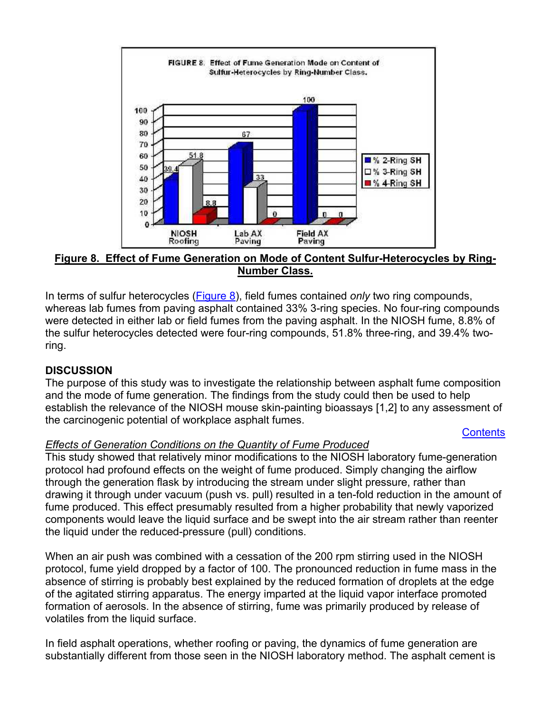<span id="page-8-0"></span>

**Figure 8. Effect of Fume Generation on Mode of Content Sulfur-Heterocycles by Ring-Number Class.**

In terms of sulfur heterocycles ([Figure 8\)](#page-8-0), field fumes contained *only* two ring compounds, whereas lab fumes from paving asphalt contained 33% 3-ring species. No four-ring compounds were detected in either lab or field fumes from the paving asphalt. In the NIOSH fume, 8.8% of the sulfur heterocycles detected were four-ring compounds, 51.8% three-ring, and 39.4% tworing.

# **DISCUSSION**

The purpose of this study was to investigate the relationship between asphalt fume composition and the mode of fume generation. The findings from the study could then be used to help establish the relevance of the NIOSH mouse skin-painting bioassays [1,2] to any assessment of the carcinogenic potential of workplace asphalt fumes.

### **[Contents](#page-0-0)**

# *Effects of Generation Conditions on the Quantity of Fume Produced*

This study showed that relatively minor modifications to the NIOSH laboratory fume-generation protocol had profound effects on the weight of fume produced. Simply changing the airflow through the generation flask by introducing the stream under slight pressure, rather than drawing it through under vacuum (push vs. pull) resulted in a ten-fold reduction in the amount of fume produced. This effect presumably resulted from a higher probability that newly vaporized components would leave the liquid surface and be swept into the air stream rather than reenter the liquid under the reduced-pressure (pull) conditions.

When an air push was combined with a cessation of the 200 rpm stirring used in the NIOSH protocol, fume yield dropped by a factor of 100. The pronounced reduction in fume mass in the absence of stirring is probably best explained by the reduced formation of droplets at the edge of the agitated stirring apparatus. The energy imparted at the liquid vapor interface promoted formation of aerosols. In the absence of stirring, fume was primarily produced by release of volatiles from the liquid surface.

In field asphalt operations, whether roofing or paving, the dynamics of fume generation are substantially different from those seen in the NIOSH laboratory method. The asphalt cement is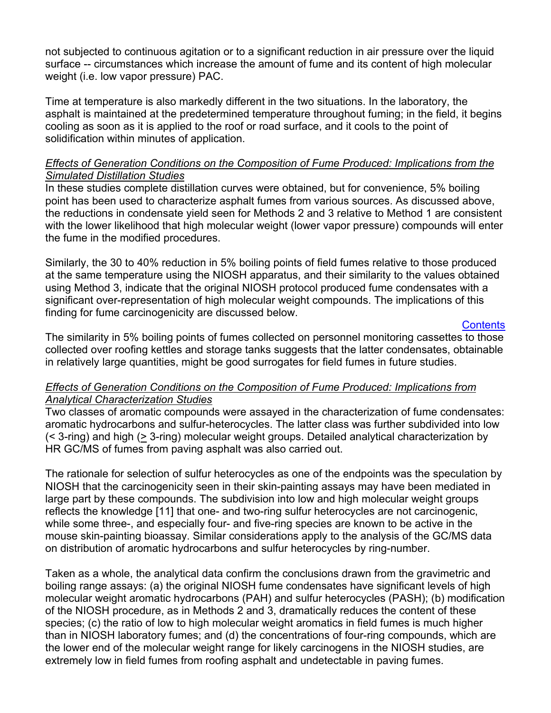not subjected to continuous agitation or to a significant reduction in air pressure over the liquid surface -- circumstances which increase the amount of fume and its content of high molecular weight (i.e. low vapor pressure) PAC.

Time at temperature is also markedly different in the two situations. In the laboratory, the asphalt is maintained at the predetermined temperature throughout fuming; in the field, it begins cooling as soon as it is applied to the roof or road surface, and it cools to the point of solidification within minutes of application.

### *Effects of Generation Conditions on the Composition of Fume Produced: Implications from the Simulated Distillation Studies*

In these studies complete distillation curves were obtained, but for convenience, 5% boiling point has been used to characterize asphalt fumes from various sources. As discussed above, the reductions in condensate yield seen for Methods 2 and 3 relative to Method 1 are consistent with the lower likelihood that high molecular weight (lower vapor pressure) compounds will enter the fume in the modified procedures.

Similarly, the 30 to 40% reduction in 5% boiling points of field fumes relative to those produced at the same temperature using the NIOSH apparatus, and their similarity to the values obtained using Method 3, indicate that the original NIOSH protocol produced fume condensates with a significant over-representation of high molecular weight compounds. The implications of this finding for fume carcinogenicity are discussed below.

### **[Contents](#page-0-0)**

The similarity in 5% boiling points of fumes collected on personnel monitoring cassettes to those collected over roofing kettles and storage tanks suggests that the latter condensates, obtainable in relatively large quantities, might be good surrogates for field fumes in future studies.

### *Effects of Generation Conditions on the Composition of Fume Produced: Implications from Analytical Characterization Studies*

Two classes of aromatic compounds were assayed in the characterization of fume condensates: aromatic hydrocarbons and sulfur-heterocycles. The latter class was further subdivided into low (< 3-ring) and high (> 3-ring) molecular weight groups. Detailed analytical characterization by HR GC/MS of fumes from paving asphalt was also carried out.

The rationale for selection of sulfur heterocycles as one of the endpoints was the speculation by NIOSH that the carcinogenicity seen in their skin-painting assays may have been mediated in large part by these compounds. The subdivision into low and high molecular weight groups reflects the knowledge [11] that one- and two-ring sulfur heterocycles are not carcinogenic, while some three-, and especially four- and five-ring species are known to be active in the mouse skin-painting bioassay. Similar considerations apply to the analysis of the GC/MS data on distribution of aromatic hydrocarbons and sulfur heterocycles by ring-number.

Taken as a whole, the analytical data confirm the conclusions drawn from the gravimetric and boiling range assays: (a) the original NIOSH fume condensates have significant levels of high molecular weight aromatic hydrocarbons (PAH) and sulfur heterocycles (PASH); (b) modification of the NIOSH procedure, as in Methods 2 and 3, dramatically reduces the content of these species; (c) the ratio of low to high molecular weight aromatics in field fumes is much higher than in NIOSH laboratory fumes; and (d) the concentrations of four-ring compounds, which are the lower end of the molecular weight range for likely carcinogens in the NIOSH studies, are extremely low in field fumes from roofing asphalt and undetectable in paving fumes.